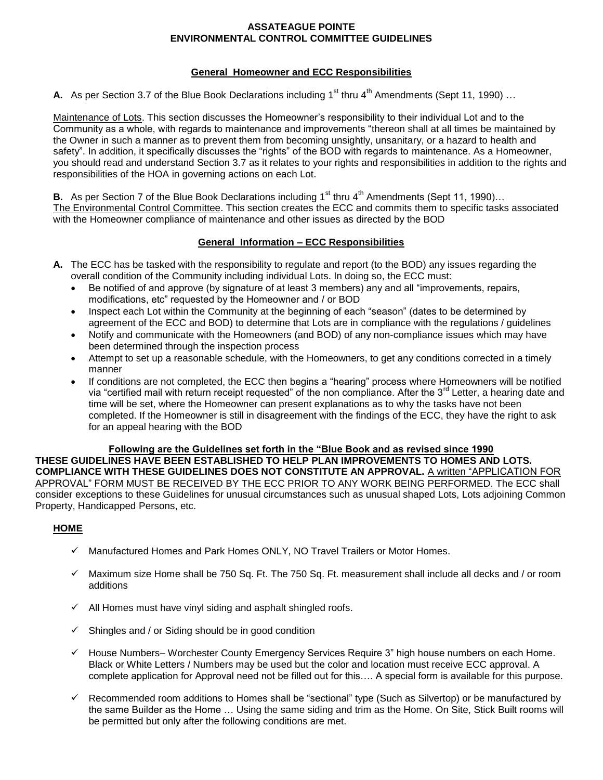## **ASSATEAGUE POINTE ENVIRONMENTAL CONTROL COMMITTEE GUIDELINES**

# **General Homeowner and ECC Responsibilities**

**A.** As per Section 3.7 of the Blue Book Declarations including 1<sup>st</sup> thru 4<sup>th</sup> Amendments (Sept 11, 1990) ...

Maintenance of Lots. This section discusses the Homeowner's responsibility to their individual Lot and to the Community as a whole, with regards to maintenance and improvements "thereon shall at all times be maintained by the Owner in such a manner as to prevent them from becoming unsightly, unsanitary, or a hazard to health and safety". In addition, it specifically discusses the "rights" of the BOD with regards to maintenance. As a Homeowner, you should read and understand Section 3.7 as it relates to your rights and responsibilities in addition to the rights and responsibilities of the HOA in governing actions on each Lot.

**B.** As per Section 7 of the Blue Book Declarations including 1<sup>st</sup> thru 4<sup>th</sup> Amendments (Sept 11, 1990)... The Environmental Control Committee. This section creates the ECC and commits them to specific tasks associated with the Homeowner compliance of maintenance and other issues as directed by the BOD

# **General Information – ECC Responsibilities**

- **A.** The ECC has be tasked with the responsibility to regulate and report (to the BOD) any issues regarding the overall condition of the Community including individual Lots. In doing so, the ECC must:
	- Be notified of and approve (by signature of at least 3 members) any and all "improvements, repairs, modifications, etc" requested by the Homeowner and / or BOD
	- Inspect each Lot within the Community at the beginning of each "season" (dates to be determined by agreement of the ECC and BOD) to determine that Lots are in compliance with the regulations / guidelines
	- Notify and communicate with the Homeowners (and BOD) of any non-compliance issues which may have been determined through the inspection process
	- Attempt to set up a reasonable schedule, with the Homeowners, to get any conditions corrected in a timely manner
	- If conditions are not completed, the ECC then begins a "hearing" process where Homeowners will be notified via "certified mail with return receipt requested" of the non compliance. After the 3<sup>rd</sup> Letter, a hearing date and time will be set, where the Homeowner can present explanations as to why the tasks have not been completed. If the Homeowner is still in disagreement with the findings of the ECC, they have the right to ask for an appeal hearing with the BOD

**Following are the Guidelines set forth in the "Blue Book and as revised since 1990 THESE GUIDELINES HAVE BEEN ESTABLISHED TO HELP PLAN IMPROVEMENTS TO HOMES AND LOTS. COMPLIANCE WITH THESE GUIDELINES DOES NOT CONSTITUTE AN APPROVAL.** A written "APPLICATION FOR APPROVAL" FORM MUST BE RECEIVED BY THE ECC PRIOR TO ANY WORK BEING PERFORMED. The ECC shall consider exceptions to these Guidelines for unusual circumstances such as unusual shaped Lots, Lots adjoining Common Property, Handicapped Persons, etc.

# **HOME**

- $\checkmark$  Manufactured Homes and Park Homes ONLY, NO Travel Trailers or Motor Homes.
- $\checkmark$  Maximum size Home shall be 750 Sq. Ft. The 750 Sq. Ft. measurement shall include all decks and / or room additions
- $\checkmark$  All Homes must have vinyl siding and asphalt shingled roofs.
- $\checkmark$  Shingles and / or Siding should be in good condition
- $\checkmark$  House Numbers– Worchester County Emergency Services Require 3" high house numbers on each Home. Black or White Letters / Numbers may be used but the color and location must receive ECC approval. A complete application for Approval need not be filled out for this…. A special form is available for this purpose.
- $\checkmark$  Recommended room additions to Homes shall be "sectional" type (Such as Silvertop) or be manufactured by the same Builder as the Home … Using the same siding and trim as the Home. On Site, Stick Built rooms will be permitted but only after the following conditions are met.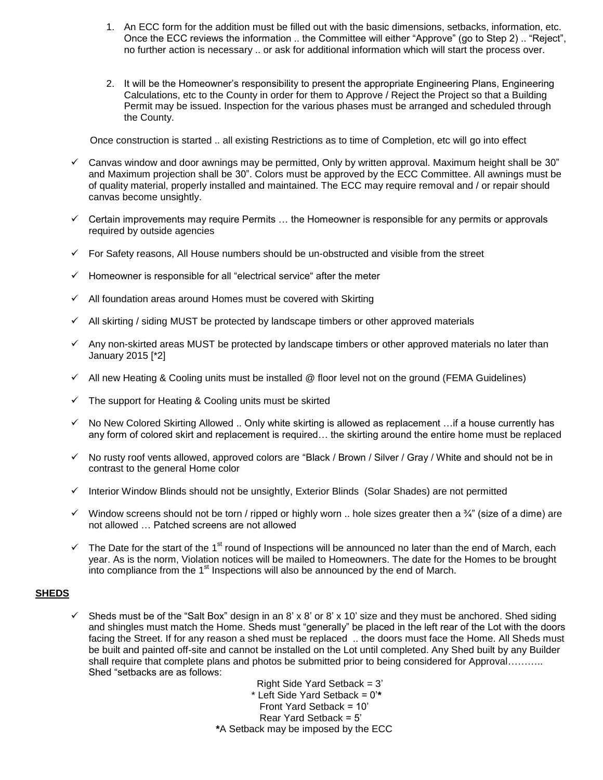- 1. An ECC form for the addition must be filled out with the basic dimensions, setbacks, information, etc. Once the ECC reviews the information .. the Committee will either "Approve" (go to Step 2) .. "Reject", no further action is necessary .. or ask for additional information which will start the process over.
- 2. It will be the Homeowner's responsibility to present the appropriate Engineering Plans, Engineering Calculations, etc to the County in order for them to Approve / Reject the Project so that a Building Permit may be issued. Inspection for the various phases must be arranged and scheduled through the County.

Once construction is started .. all existing Restrictions as to time of Completion, etc will go into effect

- $\checkmark$  Canvas window and door awnings may be permitted, Only by written approval. Maximum height shall be 30" and Maximum projection shall be 30". Colors must be approved by the ECC Committee. All awnings must be of quality material, properly installed and maintained. The ECC may require removal and / or repair should canvas become unsightly.
- $\checkmark$  Certain improvements may require Permits  $\dots$  the Homeowner is responsible for any permits or approvals required by outside agencies
- $\checkmark$  For Safety reasons, All House numbers should be un-obstructed and visible from the street
- $\checkmark$  Homeowner is responsible for all "electrical service" after the meter
- $\checkmark$  All foundation areas around Homes must be covered with Skirting
- $\checkmark$  All skirting / siding MUST be protected by landscape timbers or other approved materials
- $\checkmark$  Any non-skirted areas MUST be protected by landscape timbers or other approved materials no later than January 2015 [\*2]
- $\checkmark$  All new Heating & Cooling units must be installed @ floor level not on the ground (FEMA Guidelines)
- $\checkmark$  The support for Heating & Cooling units must be skirted
- $\checkmark$  No New Colored Skirting Allowed .. Only white skirting is allowed as replacement ... if a house currently has any form of colored skirt and replacement is required… the skirting around the entire home must be replaced
- $\checkmark$  No rusty roof vents allowed, approved colors are "Black / Brown / Silver / Gray / White and should not be in contrast to the general Home color
- $\checkmark$  Interior Window Blinds should not be unsightly, Exterior Blinds (Solar Shades) are not permitted
- Window screens should not be torn / ripped or highly worn .. hole sizes greater then a  $\frac{3}{4}$ " (size of a dime) are not allowed … Patched screens are not allowed
- $\checkmark$  The Date for the start of the 1<sup>st</sup> round of Inspections will be announced no later than the end of March, each year. As is the norm, Violation notices will be mailed to Homeowners. The date for the Homes to be brought into compliance from the  $1<sup>st</sup>$  Inspections will also be announced by the end of March.

#### **SHEDS**

Sheds must be of the "Salt Box" design in an 8' x 8' or 8' x 10' size and they must be anchored. Shed siding and shingles must match the Home. Sheds must "generally" be placed in the left rear of the Lot with the doors facing the Street. If for any reason a shed must be replaced .. the doors must face the Home. All Sheds must be built and painted off-site and cannot be installed on the Lot until completed. Any Shed built by any Builder shall require that complete plans and photos be submitted prior to being considered for Approval………. Shed "setbacks are as follows:

> Right Side Yard Setback = 3' \* Left Side Yard Setback = 0'**\*** Front Yard Setback = 10' Rear Yard Setback = 5' **\***A Setback may be imposed by the ECC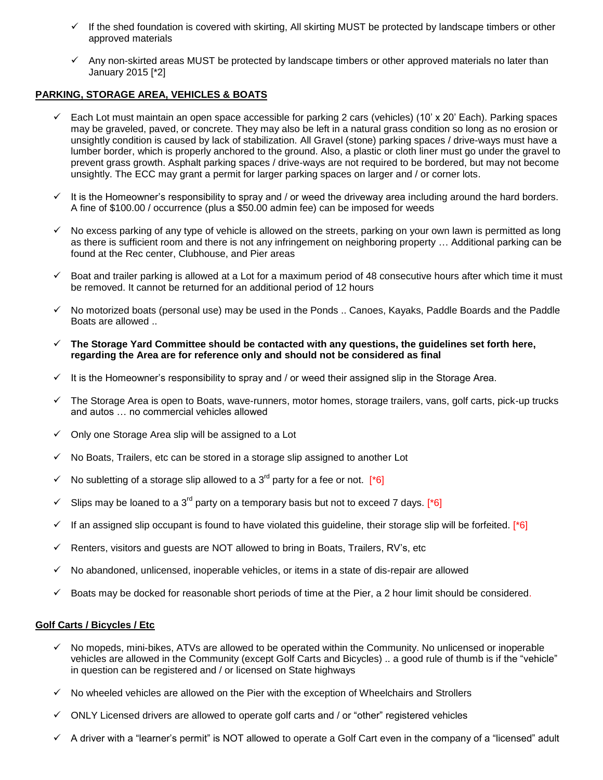- $\checkmark$  If the shed foundation is covered with skirting, All skirting MUST be protected by landscape timbers or other approved materials
- $\checkmark$  Any non-skirted areas MUST be protected by landscape timbers or other approved materials no later than January 2015 [\*2]

## **PARKING, STORAGE AREA, VEHICLES & BOATS**

- Each Lot must maintain an open space accessible for parking 2 cars (vehicles) (10' x 20' Each). Parking spaces may be graveled, paved, or concrete. They may also be left in a natural grass condition so long as no erosion or unsightly condition is caused by lack of stabilization. All Gravel (stone) parking spaces / drive-ways must have a lumber border, which is properly anchored to the ground. Also, a plastic or cloth liner must go under the gravel to prevent grass growth. Asphalt parking spaces / drive-ways are not required to be bordered, but may not become unsightly. The ECC may grant a permit for larger parking spaces on larger and / or corner lots.
- $\checkmark$  It is the Homeowner's responsibility to spray and / or weed the driveway area including around the hard borders. A fine of \$100.00 / occurrence (plus a \$50.00 admin fee) can be imposed for weeds
- $\checkmark$  No excess parking of any type of vehicle is allowed on the streets, parking on your own lawn is permitted as long as there is sufficient room and there is not any infringement on neighboring property … Additional parking can be found at the Rec center, Clubhouse, and Pier areas
- $\checkmark$  Boat and trailer parking is allowed at a Lot for a maximum period of 48 consecutive hours after which time it must be removed. It cannot be returned for an additional period of 12 hours
- $\checkmark$  No motorized boats (personal use) may be used in the Ponds .. Canoes, Kayaks, Paddle Boards and the Paddle Boats are allowed ..
- **The Storage Yard Committee should be contacted with any questions, the guidelines set forth here, regarding the Area are for reference only and should not be considered as final**
- $\checkmark$  It is the Homeowner's responsibility to spray and / or weed their assigned slip in the Storage Area.
- $\checkmark$  The Storage Area is open to Boats, wave-runners, motor homes, storage trailers, vans, golf carts, pick-up trucks and autos … no commercial vehicles allowed
- $\checkmark$  Only one Storage Area slip will be assigned to a Lot
- No Boats, Trailers, etc can be stored in a storage slip assigned to another Lot
- $\checkmark$  No subletting of a storage slip allowed to a 3<sup>rd</sup> party for a fee or not. [\*6]
- Slips may be loaned to a 3<sup>rd</sup> party on a temporary basis but not to exceed 7 days. [<sup>\*6]</sup>
- If an assigned slip occupant is found to have violated this guideline, their storage slip will be forfeited. [ $*6$ ]
- $\checkmark$  Renters, visitors and guests are NOT allowed to bring in Boats, Trailers, RV's, etc
- $\checkmark$  No abandoned, unlicensed, inoperable vehicles, or items in a state of dis-repair are allowed
- $\checkmark$  Boats may be docked for reasonable short periods of time at the Pier, a 2 hour limit should be considered.

#### **Golf Carts / Bicycles / Etc**

- $\checkmark$  No mopeds, mini-bikes, ATVs are allowed to be operated within the Community. No unlicensed or inoperable vehicles are allowed in the Community (except Golf Carts and Bicycles) .. a good rule of thumb is if the "vehicle" in question can be registered and / or licensed on State highways
- $\checkmark$  No wheeled vehicles are allowed on the Pier with the exception of Wheelchairs and Strollers
- $\checkmark$  ONLY Licensed drivers are allowed to operate golf carts and / or "other" registered vehicles
- $\checkmark$  A driver with a "learner's permit" is NOT allowed to operate a Golf Cart even in the company of a "licensed" adult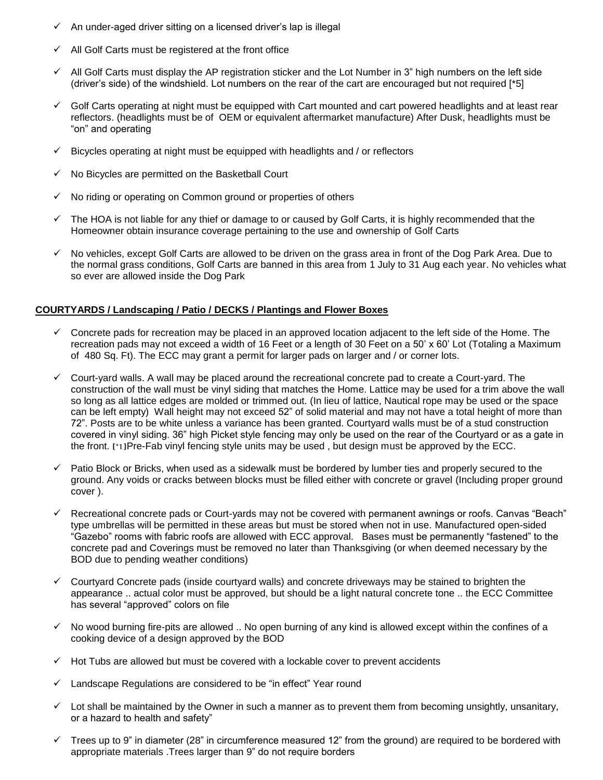- $\checkmark$  An under-aged driver sitting on a licensed driver's lap is illegal
- $\checkmark$  All Golf Carts must be registered at the front office
- $\checkmark$  All Golf Carts must display the AP registration sticker and the Lot Number in 3" high numbers on the left side (driver's side) of the windshield. Lot numbers on the rear of the cart are encouraged but not required [\*5]
- $\checkmark$  Golf Carts operating at night must be equipped with Cart mounted and cart powered headlights and at least rear reflectors. (headlights must be of OEM or equivalent aftermarket manufacture) After Dusk, headlights must be "on" and operating
- $\checkmark$  Bicycles operating at night must be equipped with headlights and / or reflectors
- $\checkmark$  No Bicycles are permitted on the Basketball Court
- $\checkmark$  No riding or operating on Common ground or properties of others
- $\checkmark$  The HOA is not liable for any thief or damage to or caused by Golf Carts, it is highly recommended that the Homeowner obtain insurance coverage pertaining to the use and ownership of Golf Carts
- $\checkmark$  No vehicles, except Golf Carts are allowed to be driven on the grass area in front of the Dog Park Area. Due to the normal grass conditions, Golf Carts are banned in this area from 1 July to 31 Aug each year. No vehicles what so ever are allowed inside the Dog Park

## **COURTYARDS / Landscaping / Patio / DECKS / Plantings and Flower Boxes**

- Concrete pads for recreation may be placed in an approved location adjacent to the left side of the Home. The recreation pads may not exceed a width of 16 Feet or a length of 30 Feet on a 50' x 60' Lot (Totaling a Maximum of 480 Sq. Ft). The ECC may grant a permit for larger pads on larger and / or corner lots.
- $\checkmark$  Court-yard walls. A wall may be placed around the recreational concrete pad to create a Court-yard. The construction of the wall must be vinyl siding that matches the Home. Lattice may be used for a trim above the wall so long as all lattice edges are molded or trimmed out. (In lieu of lattice, Nautical rope may be used or the space can be left empty) Wall height may not exceed 52" of solid material and may not have a total height of more than 72". Posts are to be white unless a variance has been granted. Courtyard walls must be of a stud construction covered in vinyl siding. 36" high Picket style fencing may only be used on the rear of the Courtyard or as a gate in the front. [\*1]Pre-Fab vinyl fencing style units may be used , but design must be approved by the ECC.
- Patio Block or Bricks, when used as a sidewalk must be bordered by lumber ties and properly secured to the ground. Any voids or cracks between blocks must be filled either with concrete or gravel (Including proper ground cover ).
- Recreational concrete pads or Court-yards may not be covered with permanent awnings or roofs. Canvas "Beach" type umbrellas will be permitted in these areas but must be stored when not in use. Manufactured open-sided "Gazebo" rooms with fabric roofs are allowed with ECC approval. Bases must be permanently "fastened" to the concrete pad and Coverings must be removed no later than Thanksgiving (or when deemed necessary by the BOD due to pending weather conditions)
- $\checkmark$  Courtyard Concrete pads (inside courtyard walls) and concrete driveways may be stained to brighten the appearance .. actual color must be approved, but should be a light natural concrete tone .. the ECC Committee has several "approved" colors on file
- $\checkmark$  No wood burning fire-pits are allowed .. No open burning of any kind is allowed except within the confines of a cooking device of a design approved by the BOD
- $\checkmark$  Hot Tubs are allowed but must be covered with a lockable cover to prevent accidents
- Landscape Regulations are considered to be "in effect" Year round
- $\checkmark$  Lot shall be maintained by the Owner in such a manner as to prevent them from becoming unsightly, unsanitary, or a hazard to health and safety"
- $\checkmark$  Trees up to 9" in diameter (28" in circumference measured 12" from the ground) are required to be bordered with appropriate materials .Trees larger than 9" do not require borders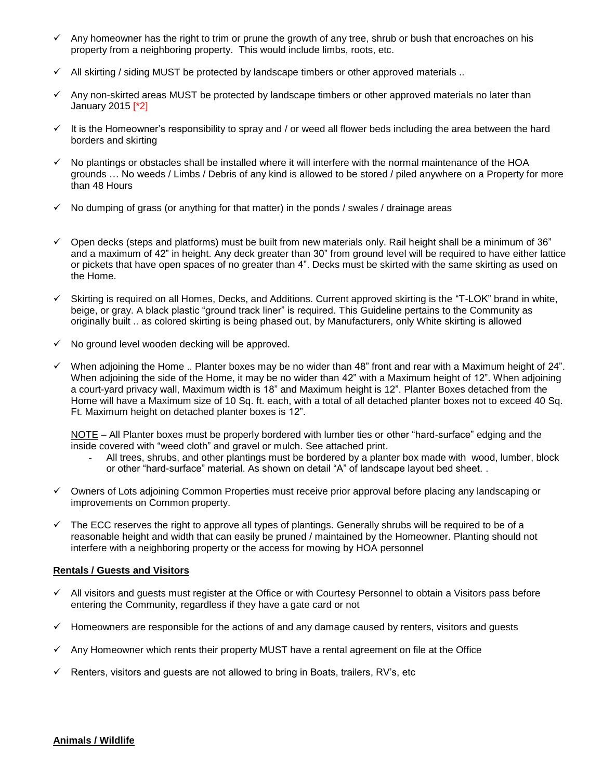- $\checkmark$  Any homeowner has the right to trim or prune the growth of any tree, shrub or bush that encroaches on his property from a neighboring property. This would include limbs, roots, etc.
- $\checkmark$  All skirting / siding MUST be protected by landscape timbers or other approved materials ..
- $\checkmark$  Any non-skirted areas MUST be protected by landscape timbers or other approved materials no later than January 2015 [\*2]
- $\checkmark$  It is the Homeowner's responsibility to spray and / or weed all flower beds including the area between the hard borders and skirting
- $\checkmark$  No plantings or obstacles shall be installed where it will interfere with the normal maintenance of the HOA grounds … No weeds / Limbs / Debris of any kind is allowed to be stored / piled anywhere on a Property for more than 48 Hours
- $\checkmark$  No dumping of grass (or anything for that matter) in the ponds / swales / drainage areas
- $\checkmark$  Open decks (steps and platforms) must be built from new materials only. Rail height shall be a minimum of 36" and a maximum of 42" in height. Any deck greater than 30" from ground level will be required to have either lattice or pickets that have open spaces of no greater than 4". Decks must be skirted with the same skirting as used on the Home.
- $\checkmark$  Skirting is required on all Homes, Decks, and Additions. Current approved skirting is the "T-LOK" brand in white, beige, or gray. A black plastic "ground track liner" is required. This Guideline pertains to the Community as originally built .. as colored skirting is being phased out, by Manufacturers, only White skirting is allowed
- $\checkmark$  No ground level wooden decking will be approved.
- $\checkmark$  When adjoining the Home .. Planter boxes may be no wider than 48" front and rear with a Maximum height of 24". When adjoining the side of the Home, it may be no wider than 42" with a Maximum height of 12". When adjoining a court-yard privacy wall, Maximum width is 18" and Maximum height is 12". Planter Boxes detached from the Home will have a Maximum size of 10 Sq. ft. each, with a total of all detached planter boxes not to exceed 40 Sq. Ft. Maximum height on detached planter boxes is 12".

NOTE – All Planter boxes must be properly bordered with lumber ties or other "hard-surface" edging and the inside covered with "weed cloth" and gravel or mulch. See attached print.

- All trees, shrubs, and other plantings must be bordered by a planter box made with wood, lumber, block or other "hard-surface" material. As shown on detail "A" of landscape layout bed sheet. .
- Owners of Lots adjoining Common Properties must receive prior approval before placing any landscaping or improvements on Common property.
- $\checkmark$  The ECC reserves the right to approve all types of plantings. Generally shrubs will be required to be of a reasonable height and width that can easily be pruned / maintained by the Homeowner. Planting should not interfere with a neighboring property or the access for mowing by HOA personnel

#### **Rentals / Guests and Visitors**

- $\checkmark$  All visitors and guests must register at the Office or with Courtesy Personnel to obtain a Visitors pass before entering the Community, regardless if they have a gate card or not
- $\checkmark$  Homeowners are responsible for the actions of and any damage caused by renters, visitors and guests
- Any Homeowner which rents their property MUST have a rental agreement on file at the Office
- $\checkmark$  Renters, visitors and guests are not allowed to bring in Boats, trailers, RV's, etc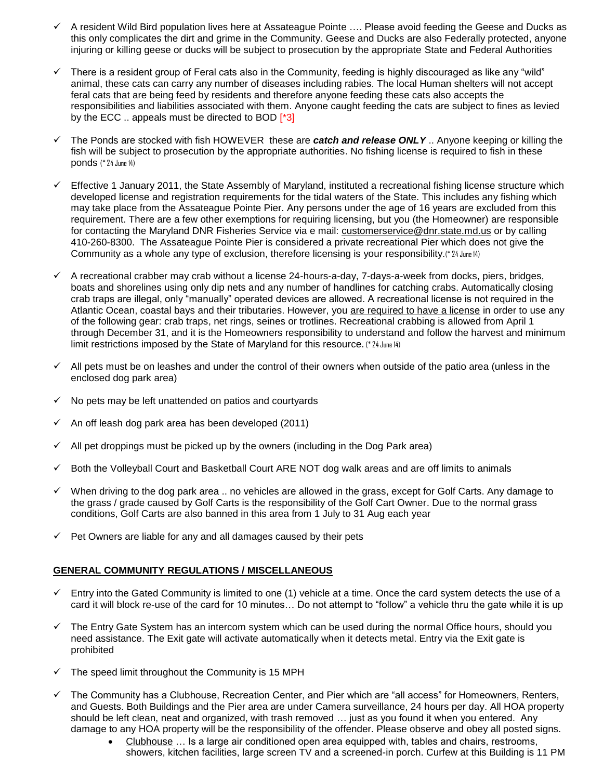- A resident Wild Bird population lives here at Assateague Pointe …. Please avoid feeding the Geese and Ducks as this only complicates the dirt and grime in the Community. Geese and Ducks are also Federally protected, anyone injuring or killing geese or ducks will be subject to prosecution by the appropriate State and Federal Authorities
- $\checkmark$  There is a resident group of Feral cats also in the Community, feeding is highly discouraged as like any "wild" animal, these cats can carry any number of diseases including rabies. The local Human shelters will not accept feral cats that are being feed by residents and therefore anyone feeding these cats also accepts the responsibilities and liabilities associated with them. Anyone caught feeding the cats are subject to fines as levied by the ECC .. appeals must be directed to BOD [\*3]
- The Ponds are stocked with fish HOWEVER these are *catch and release ONLY* .. Anyone keeping or killing the fish will be subject to prosecution by the appropriate authorities. No fishing license is required to fish in these ponds (\* 24 June 14)
- Effective 1 January 2011, the State Assembly of Maryland, instituted a recreational fishing license structure which developed license and registration requirements for the tidal waters of the State. This includes any fishing which may take place from the Assateague Pointe Pier. Any persons under the age of 16 years are excluded from this requirement. There are a few other exemptions for requiring licensing, but you (the Homeowner) are responsible for contacting the Maryland DNR Fisheries Service via e mail: [customerservice@dnr.state.md.us](mailto:customerservice@dnr.state.md.us) or by calling 410-260-8300. The Assateague Pointe Pier is considered a private recreational Pier which does not give the Community as a whole any type of exclusion, therefore licensing is your responsibility.(\* 24 June 14)
- $\checkmark$  A recreational crabber may crab without a license 24-hours-a-day, 7-days-a-week from docks, piers, bridges, boats and shorelines using only dip nets and any number of handlines for catching crabs. Automatically closing crab traps are illegal, only "manually" operated devices are allowed. A recreational license is not required in the Atlantic Ocean, coastal bays and their tributaries. However, you are required to have a license in order to use any of the following gear: crab traps, net rings, seines or trotlines. Recreational crabbing is allowed from April 1 through December 31, and it is the Homeowners responsibility to understand and follow the harvest and minimum limit restrictions imposed by the State of Maryland for this resource. (\* 24 June 14)
- $\checkmark$  All pets must be on leashes and under the control of their owners when outside of the patio area (unless in the enclosed dog park area)
- $\checkmark$  No pets may be left unattended on patios and courtyards
- An off leash dog park area has been developed (2011)
- $\checkmark$  All pet droppings must be picked up by the owners (including in the Dog Park area)
- $\checkmark$  Both the Volleyball Court and Basketball Court ARE NOT dog walk areas and are off limits to animals
- $\checkmark$  When driving to the dog park area .. no vehicles are allowed in the grass, except for Golf Carts. Any damage to the grass / grade caused by Golf Carts is the responsibility of the Golf Cart Owner. Due to the normal grass conditions, Golf Carts are also banned in this area from 1 July to 31 Aug each year
- $\checkmark$  Pet Owners are liable for any and all damages caused by their pets

# **GENERAL COMMUNITY REGULATIONS / MISCELLANEOUS**

- $\checkmark$  Entry into the Gated Community is limited to one (1) vehicle at a time. Once the card system detects the use of a card it will block re-use of the card for 10 minutes… Do not attempt to "follow" a vehicle thru the gate while it is up
- $\checkmark$  The Entry Gate System has an intercom system which can be used during the normal Office hours, should you need assistance. The Exit gate will activate automatically when it detects metal. Entry via the Exit gate is prohibited
- $\checkmark$  The speed limit throughout the Community is 15 MPH
- $\checkmark$  The Community has a Clubhouse, Recreation Center, and Pier which are "all access" for Homeowners, Renters, and Guests. Both Buildings and the Pier area are under Camera surveillance, 24 hours per day. All HOA property should be left clean, neat and organized, with trash removed … just as you found it when you entered. Any damage to any HOA property will be the responsibility of the offender. Please observe and obey all posted signs.
	- Clubhouse … Is a large air conditioned open area equipped with, tables and chairs, restrooms, showers, kitchen facilities, large screen TV and a screened-in porch. Curfew at this Building is 11 PM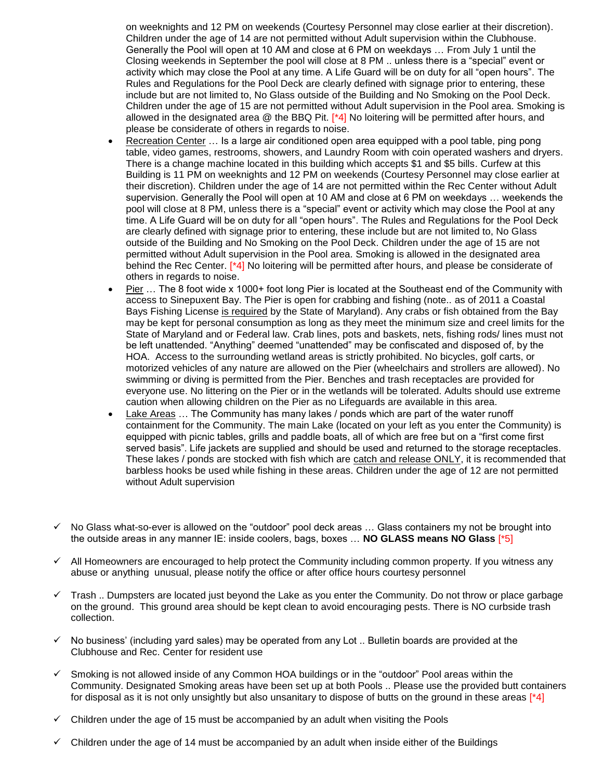on weeknights and 12 PM on weekends (Courtesy Personnel may close earlier at their discretion). Children under the age of 14 are not permitted without Adult supervision within the Clubhouse. Generally the Pool will open at 10 AM and close at 6 PM on weekdays … From July 1 until the Closing weekends in September the pool will close at 8 PM .. unless there is a "special" event or activity which may close the Pool at any time. A Life Guard will be on duty for all "open hours". The Rules and Regulations for the Pool Deck are clearly defined with signage prior to entering, these include but are not limited to, No Glass outside of the Building and No Smoking on the Pool Deck. Children under the age of 15 are not permitted without Adult supervision in the Pool area. Smoking is allowed in the designated area @ the BBQ Pit. [\*4] No loitering will be permitted after hours, and please be considerate of others in regards to noise.

- Recreation Center ... Is a large air conditioned open area equipped with a pool table, ping pong table, video games, restrooms, showers, and Laundry Room with coin operated washers and dryers. There is a change machine located in this building which accepts \$1 and \$5 bills. Curfew at this Building is 11 PM on weeknights and 12 PM on weekends (Courtesy Personnel may close earlier at their discretion). Children under the age of 14 are not permitted within the Rec Center without Adult supervision. Generally the Pool will open at 10 AM and close at 6 PM on weekdays … weekends the pool will close at 8 PM, unless there is a "special" event or activity which may close the Pool at any time. A Life Guard will be on duty for all "open hours". The Rules and Regulations for the Pool Deck are clearly defined with signage prior to entering, these include but are not limited to, No Glass outside of the Building and No Smoking on the Pool Deck. Children under the age of 15 are not permitted without Adult supervision in the Pool area. Smoking is allowed in the designated area behind the Rec Center. [\*4] No loitering will be permitted after hours, and please be considerate of others in regards to noise.
- Pier … The 8 foot wide x 1000+ foot long Pier is located at the Southeast end of the Community with access to Sinepuxent Bay. The Pier is open for crabbing and fishing (note.. as of 2011 a Coastal Bays Fishing License is required by the State of Maryland). Any crabs or fish obtained from the Bay may be kept for personal consumption as long as they meet the minimum size and creel limits for the State of Maryland and or Federal law. Crab lines, pots and baskets, nets, fishing rods/ lines must not be left unattended. "Anything" deemed "unattended" may be confiscated and disposed of, by the HOA. Access to the surrounding wetland areas is strictly prohibited. No bicycles, golf carts, or motorized vehicles of any nature are allowed on the Pier (wheelchairs and strollers are allowed). No swimming or diving is permitted from the Pier. Benches and trash receptacles are provided for everyone use. No littering on the Pier or in the wetlands will be tolerated. Adults should use extreme caution when allowing children on the Pier as no Lifeguards are available in this area.
- Lake Areas … The Community has many lakes / ponds which are part of the water runoff containment for the Community. The main Lake (located on your left as you enter the Community) is equipped with picnic tables, grills and paddle boats, all of which are free but on a "first come first served basis". Life jackets are supplied and should be used and returned to the storage receptacles. These lakes / ponds are stocked with fish which are catch and release ONLY, it is recommended that barbless hooks be used while fishing in these areas. Children under the age of 12 are not permitted without Adult supervision
- $\checkmark$  No Glass what-so-ever is allowed on the "outdoor" pool deck areas ... Glass containers my not be brought into the outside areas in any manner IE: inside coolers, bags, boxes … **NO GLASS means NO Glass** [\*5]
- $\checkmark$  All Homeowners are encouraged to help protect the Community including common property. If you witness any abuse or anything unusual, please notify the office or after office hours courtesy personnel
- $\checkmark$  Trash .. Dumpsters are located just beyond the Lake as you enter the Community. Do not throw or place garbage on the ground. This ground area should be kept clean to avoid encouraging pests. There is NO curbside trash collection.
- $\checkmark$  No business' (including yard sales) may be operated from any Lot .. Bulletin boards are provided at the Clubhouse and Rec. Center for resident use
- $\checkmark$  Smoking is not allowed inside of any Common HOA buildings or in the "outdoor" Pool areas within the Community. Designated Smoking areas have been set up at both Pools .. Please use the provided butt containers for disposal as it is not only unsightly but also unsanitary to dispose of butts on the ground in these areas  $[^*4]$
- $\checkmark$  Children under the age of 15 must be accompanied by an adult when visiting the Pools
- $\checkmark$  Children under the age of 14 must be accompanied by an adult when inside either of the Buildings